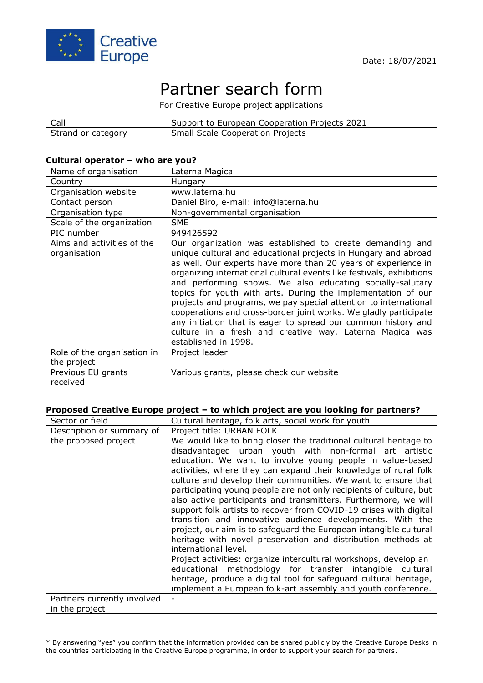

# Partner search form

For Creative Europe project applications

| Call               | I Support to European Cooperation Projects 2021 |
|--------------------|-------------------------------------------------|
| Strand or category | <b>Small Scale Cooperation Projects</b>         |

#### **Cultural operator – who are you?**

| Name of organisation                       | Laterna Magica                                                                                                                                                                                                                                                                                                                                                                                                                                                                                                                                                                                                                                                                               |
|--------------------------------------------|----------------------------------------------------------------------------------------------------------------------------------------------------------------------------------------------------------------------------------------------------------------------------------------------------------------------------------------------------------------------------------------------------------------------------------------------------------------------------------------------------------------------------------------------------------------------------------------------------------------------------------------------------------------------------------------------|
| Country                                    | Hungary                                                                                                                                                                                                                                                                                                                                                                                                                                                                                                                                                                                                                                                                                      |
| Organisation website                       | www.laterna.hu                                                                                                                                                                                                                                                                                                                                                                                                                                                                                                                                                                                                                                                                               |
| Contact person                             | Daniel Biro, e-mail: info@laterna.hu                                                                                                                                                                                                                                                                                                                                                                                                                                                                                                                                                                                                                                                         |
| Organisation type                          | Non-governmental organisation                                                                                                                                                                                                                                                                                                                                                                                                                                                                                                                                                                                                                                                                |
| Scale of the organization                  | <b>SME</b>                                                                                                                                                                                                                                                                                                                                                                                                                                                                                                                                                                                                                                                                                   |
| PIC number                                 | 949426592                                                                                                                                                                                                                                                                                                                                                                                                                                                                                                                                                                                                                                                                                    |
| Aims and activities of the<br>organisation | Our organization was established to create demanding and<br>unique cultural and educational projects in Hungary and abroad<br>as well. Our experts have more than 20 years of experience in<br>organizing international cultural events like festivals, exhibitions<br>and performing shows. We also educating socially-salutary<br>topics for youth with arts. During the implementation of our<br>projects and programs, we pay special attention to international<br>cooperations and cross-border joint works. We gladly participate<br>any initiation that is eager to spread our common history and<br>culture in a fresh and creative way. Laterna Magica was<br>established in 1998. |
| Role of the organisation in<br>the project | Project leader                                                                                                                                                                                                                                                                                                                                                                                                                                                                                                                                                                                                                                                                               |
| Previous EU grants<br>received             | Various grants, please check our website                                                                                                                                                                                                                                                                                                                                                                                                                                                                                                                                                                                                                                                     |

### **Proposed Creative Europe project – to which project are you looking for partners?**

| Sector or field             | Cultural heritage, folk arts, social work for youth                                  |
|-----------------------------|--------------------------------------------------------------------------------------|
| Description or summary of   | Project title: URBAN FOLK                                                            |
| the proposed project        | We would like to bring closer the traditional cultural heritage to                   |
|                             | disadvantaged urban youth with non-formal art artistic                               |
|                             | education. We want to involve young people in value-based                            |
|                             | activities, where they can expand their knowledge of rural folk                      |
|                             | culture and develop their communities. We want to ensure that                        |
|                             | participating young people are not only recipients of culture, but                   |
|                             | also active participants and transmitters. Furthermore, we will                      |
|                             | support folk artists to recover from COVID-19 crises with digital                    |
|                             | transition and innovative audience developments. With the                            |
|                             | project, our aim is to safeguard the European intangible cultural                    |
|                             | heritage with novel preservation and distribution methods at<br>international level. |
|                             | Project activities: organize intercultural workshops, develop an                     |
|                             | educational methodology for transfer intangible cultural                             |
|                             | heritage, produce a digital tool for safeguard cultural heritage,                    |
|                             | implement a European folk-art assembly and youth conference.                         |
| Partners currently involved |                                                                                      |
| in the project              |                                                                                      |